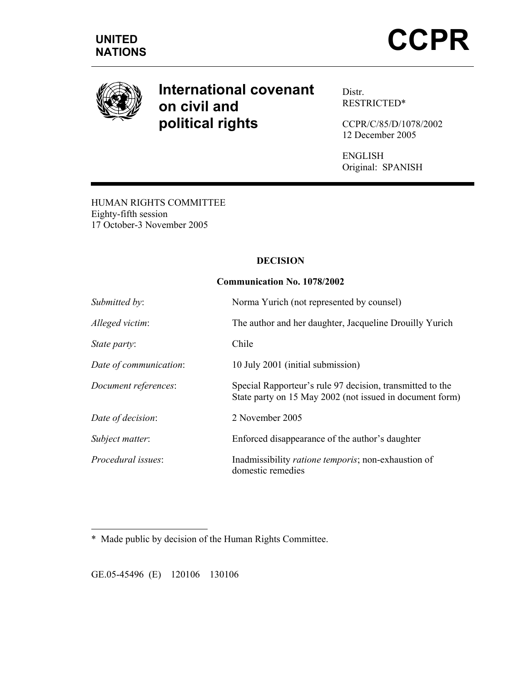

# **International covenant on civil and political rights**

Distr. RESTRICTED\*

CCPR/C/85/D/1078/2002 12 December 2005

ENGLISH Original: SPANISH

HUMAN RIGHTS COMMITTEE Eighty-fifth session 17 October-3 November 2005

## **DECISION**

## **Communication No. 1078/2002**

| Submitted by:          | Norma Yurich (not represented by counsel)                                                                             |
|------------------------|-----------------------------------------------------------------------------------------------------------------------|
| Alleged victim:        | The author and her daughter, Jacqueline Drouilly Yurich                                                               |
| State party:           | Chile                                                                                                                 |
| Date of communication: | 10 July 2001 (initial submission)                                                                                     |
| Document references:   | Special Rapporteur's rule 97 decision, transmitted to the<br>State party on 15 May 2002 (not issued in document form) |
| Date of decision:      | 2 November 2005                                                                                                       |
| Subject matter:        | Enforced disappearance of the author's daughter                                                                       |
| Procedural issues:     | Inadmissibility ratione temporis; non-exhaustion of<br>domestic remedies                                              |

 $\overline{a}$ \*Made public by decision of the Human Rights Committee.

GE.05-45496 (E) 120106 130106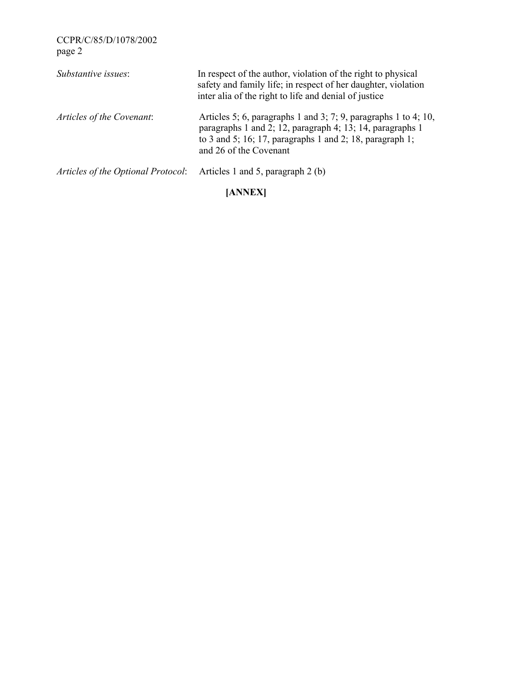| Substantive issues:                                                         | In respect of the author, violation of the right to physical<br>safety and family life; in respect of her daughter, violation<br>inter alia of the right to life and denial of justice                             |
|-----------------------------------------------------------------------------|--------------------------------------------------------------------------------------------------------------------------------------------------------------------------------------------------------------------|
| Articles of the Covenant:                                                   | Articles 5; 6, paragraphs 1 and 3; 7; 9, paragraphs 1 to 4; 10,<br>paragraphs 1 and 2; 12, paragraph 4; 13; 14, paragraphs 1<br>to 3 and 5; 16; 17, paragraphs 1 and 2; 18, paragraph 1;<br>and 26 of the Covenant |
| <i>Articles of the Optional Protocol:</i> Articles 1 and 5, paragraph 2 (b) |                                                                                                                                                                                                                    |

## **[ANNEX]**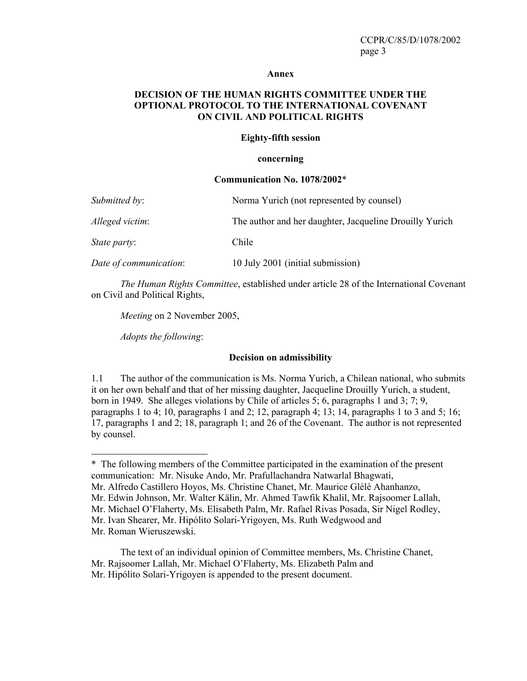#### **Annex**

## **DECISION OF THE HUMAN RIGHTS COMMITTEE UNDER THE OPTIONAL PROTOCOL TO THE INTERNATIONAL COVENANT ON CIVIL AND POLITICAL RIGHTS**

#### **Eighty-fifth session**

#### **concerning**

#### **Communication No. 1078/2002**\*

| Submitted by:          | Norma Yurich (not represented by counsel)               |
|------------------------|---------------------------------------------------------|
| Alleged victim:        | The author and her daughter, Jacqueline Drouilly Yurich |
| <i>State party:</i>    | Chile                                                   |
| Date of communication: | 10 July 2001 (initial submission)                       |

*The Human Rights Committee*, established under article 28 of the International Covenant on Civil and Political Rights,

*Meeting* on 2 November 2005,

*Adopts the following*:

#### **Decision on admissibility**

1.1 The author of the communication is Ms. Norma Yurich, a Chilean national, who submits it on her own behalf and that of her missing daughter, Jacqueline Drouilly Yurich, a student, born in 1949. She alleges violations by Chile of articles 5; 6, paragraphs 1 and 3; 7; 9, paragraphs 1 to 4; 10, paragraphs 1 and 2; 12, paragraph 4; 13; 14, paragraphs 1 to 3 and 5; 16; 17, paragraphs 1 and 2; 18, paragraph 1; and 26 of the Covenant. The author is not represented by counsel.

Mr. Alfredo Castillero Hoyos, Ms. Christine Chanet, Mr. Maurice Glèlè Ahanhanzo,

- Mr. Edwin Johnson, Mr. Walter Kälin, Mr. Ahmed Tawfik Khalil, Mr. Rajsoomer Lallah,
- Mr. Michael O'Flaherty, Ms. Elisabeth Palm, Mr. Rafael Rivas Posada, Sir Nigel Rodley,
- Mr. Ivan Shearer, Mr. Hipólito Solari-Yrigoyen, Ms. Ruth Wedgwood and

 $\overline{a}$ 

<sup>\*</sup> The following members of the Committee participated in the examination of the present communication: Mr. Nisuke Ando, Mr. Prafullachandra Natwarlal Bhagwati,

Mr. Roman Wieruszewski.

The text of an individual opinion of Committee members, Ms. Christine Chanet, Mr. Rajsoomer Lallah, Mr. Michael O'Flaherty, Ms. Elizabeth Palm and Mr. Hipólito Solari-Yrigoyen is appended to the present document.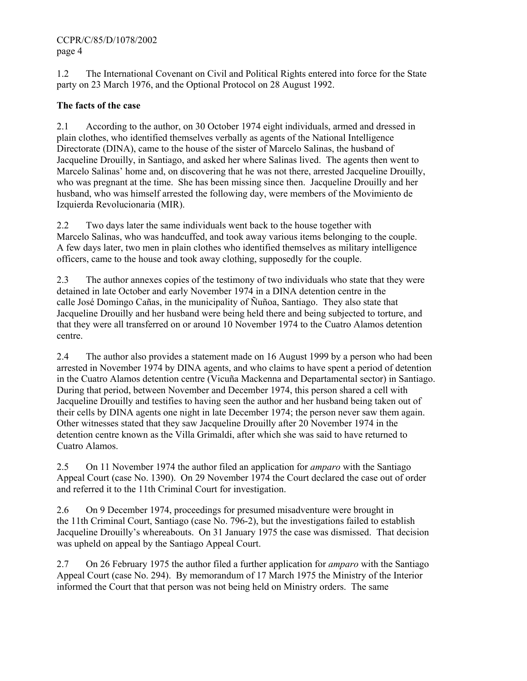1.2 The International Covenant on Civil and Political Rights entered into force for the State party on 23 March 1976, and the Optional Protocol on 28 August 1992.

## **The facts of the case**

2.1 According to the author, on 30 October 1974 eight individuals, armed and dressed in plain clothes, who identified themselves verbally as agents of the National Intelligence Directorate (DINA), came to the house of the sister of Marcelo Salinas, the husband of Jacqueline Drouilly, in Santiago, and asked her where Salinas lived. The agents then went to Marcelo Salinas' home and, on discovering that he was not there, arrested Jacqueline Drouilly, who was pregnant at the time. She has been missing since then. Jacqueline Drouilly and her husband, who was himself arrested the following day, were members of the Movimiento de Izquierda Revolucionaria (MIR).

2.2 Two days later the same individuals went back to the house together with Marcelo Salinas, who was handcuffed, and took away various items belonging to the couple. A few days later, two men in plain clothes who identified themselves as military intelligence officers, came to the house and took away clothing, supposedly for the couple.

2.3 The author annexes copies of the testimony of two individuals who state that they were detained in late October and early November 1974 in a DINA detention centre in the calle José Domingo Cañas, in the municipality of Ñuñoa, Santiago. They also state that Jacqueline Drouilly and her husband were being held there and being subjected to torture, and that they were all transferred on or around 10 November 1974 to the Cuatro Alamos detention centre.

2.4 The author also provides a statement made on 16 August 1999 by a person who had been arrested in November 1974 by DINA agents, and who claims to have spent a period of detention in the Cuatro Alamos detention centre (Vicuña Mackenna and Departamental sector) in Santiago. During that period, between November and December 1974, this person shared a cell with Jacqueline Drouilly and testifies to having seen the author and her husband being taken out of their cells by DINA agents one night in late December 1974; the person never saw them again. Other witnesses stated that they saw Jacqueline Drouilly after 20 November 1974 in the detention centre known as the Villa Grimaldi, after which she was said to have returned to Cuatro Alamos.

2.5 On 11 November 1974 the author filed an application for *amparo* with the Santiago Appeal Court (case No. 1390). On 29 November 1974 the Court declared the case out of order and referred it to the 11th Criminal Court for investigation.

2.6 On 9 December 1974, proceedings for presumed misadventure were brought in the 11th Criminal Court, Santiago (case No. 796-2), but the investigations failed to establish Jacqueline Drouilly's whereabouts. On 31 January 1975 the case was dismissed. That decision was upheld on appeal by the Santiago Appeal Court.

2.7 On 26 February 1975 the author filed a further application for *amparo* with the Santiago Appeal Court (case No. 294). By memorandum of 17 March 1975 the Ministry of the Interior informed the Court that that person was not being held on Ministry orders. The same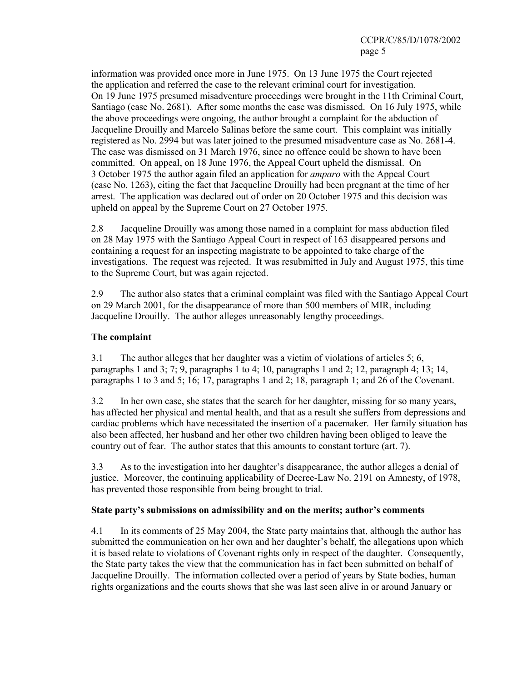information was provided once more in June 1975. On 13 June 1975 the Court rejected the application and referred the case to the relevant criminal court for investigation. On 19 June 1975 presumed misadventure proceedings were brought in the 11th Criminal Court, Santiago (case No. 2681). After some months the case was dismissed. On 16 July 1975, while the above proceedings were ongoing, the author brought a complaint for the abduction of Jacqueline Drouilly and Marcelo Salinas before the same court. This complaint was initially registered as No. 2994 but was later joined to the presumed misadventure case as No. 2681-4. The case was dismissed on 31 March 1976, since no offence could be shown to have been committed. On appeal, on 18 June 1976, the Appeal Court upheld the dismissal. On 3 October 1975 the author again filed an application for *amparo* with the Appeal Court (case No. 1263), citing the fact that Jacqueline Drouilly had been pregnant at the time of her arrest. The application was declared out of order on 20 October 1975 and this decision was upheld on appeal by the Supreme Court on 27 October 1975.

2.8 Jacqueline Drouilly was among those named in a complaint for mass abduction filed on 28 May 1975 with the Santiago Appeal Court in respect of 163 disappeared persons and containing a request for an inspecting magistrate to be appointed to take charge of the investigations. The request was rejected. It was resubmitted in July and August 1975, this time to the Supreme Court, but was again rejected.

2.9 The author also states that a criminal complaint was filed with the Santiago Appeal Court on 29 March 2001, for the disappearance of more than 500 members of MIR, including Jacqueline Drouilly. The author alleges unreasonably lengthy proceedings.

## **The complaint**

3.1 The author alleges that her daughter was a victim of violations of articles 5; 6, paragraphs 1 and 3; 7; 9, paragraphs 1 to 4; 10, paragraphs 1 and 2; 12, paragraph 4; 13; 14, paragraphs 1 to 3 and 5; 16; 17, paragraphs 1 and 2; 18, paragraph 1; and 26 of the Covenant.

3.2 In her own case, she states that the search for her daughter, missing for so many years, has affected her physical and mental health, and that as a result she suffers from depressions and cardiac problems which have necessitated the insertion of a pacemaker. Her family situation has also been affected, her husband and her other two children having been obliged to leave the country out of fear. The author states that this amounts to constant torture (art. 7).

3.3 As to the investigation into her daughter's disappearance, the author alleges a denial of justice. Moreover, the continuing applicability of Decree-Law No. 2191 on Amnesty, of 1978, has prevented those responsible from being brought to trial.

## **State party's submissions on admissibility and on the merits; author's comments**

4.1 In its comments of 25 May 2004, the State party maintains that, although the author has submitted the communication on her own and her daughter's behalf, the allegations upon which it is based relate to violations of Covenant rights only in respect of the daughter. Consequently, the State party takes the view that the communication has in fact been submitted on behalf of Jacqueline Drouilly. The information collected over a period of years by State bodies, human rights organizations and the courts shows that she was last seen alive in or around January or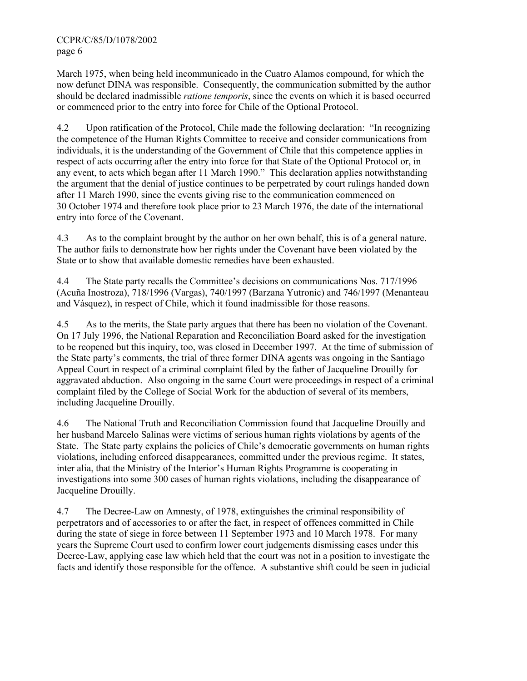March 1975, when being held incommunicado in the Cuatro Alamos compound, for which the now defunct DINA was responsible. Consequently, the communication submitted by the author should be declared inadmissible *ratione temporis*, since the events on which it is based occurred or commenced prior to the entry into force for Chile of the Optional Protocol.

4.2 Upon ratification of the Protocol, Chile made the following declaration: "In recognizing the competence of the Human Rights Committee to receive and consider communications from individuals, it is the understanding of the Government of Chile that this competence applies in respect of acts occurring after the entry into force for that State of the Optional Protocol or, in any event, to acts which began after 11 March 1990." This declaration applies notwithstanding the argument that the denial of justice continues to be perpetrated by court rulings handed down after 11 March 1990, since the events giving rise to the communication commenced on 30 October 1974 and therefore took place prior to 23 March 1976, the date of the international entry into force of the Covenant.

4.3 As to the complaint brought by the author on her own behalf, this is of a general nature. The author fails to demonstrate how her rights under the Covenant have been violated by the State or to show that available domestic remedies have been exhausted.

4.4 The State party recalls the Committee's decisions on communications Nos. 717/1996 (Acuña Inostroza), 718/1996 (Vargas), 740/1997 (Barzana Yutronic) and 746/1997 (Menanteau and Vásquez), in respect of Chile, which it found inadmissible for those reasons.

4.5 As to the merits, the State party argues that there has been no violation of the Covenant. On 17 July 1996, the National Reparation and Reconciliation Board asked for the investigation to be reopened but this inquiry, too, was closed in December 1997. At the time of submission of the State party's comments, the trial of three former DINA agents was ongoing in the Santiago Appeal Court in respect of a criminal complaint filed by the father of Jacqueline Drouilly for aggravated abduction. Also ongoing in the same Court were proceedings in respect of a criminal complaint filed by the College of Social Work for the abduction of several of its members, including Jacqueline Drouilly.

4.6 The National Truth and Reconciliation Commission found that Jacqueline Drouilly and her husband Marcelo Salinas were victims of serious human rights violations by agents of the State. The State party explains the policies of Chile's democratic governments on human rights violations, including enforced disappearances, committed under the previous regime. It states, inter alia, that the Ministry of the Interior's Human Rights Programme is cooperating in investigations into some 300 cases of human rights violations, including the disappearance of Jacqueline Drouilly.

4.7 The Decree-Law on Amnesty, of 1978, extinguishes the criminal responsibility of perpetrators and of accessories to or after the fact, in respect of offences committed in Chile during the state of siege in force between 11 September 1973 and 10 March 1978. For many years the Supreme Court used to confirm lower court judgements dismissing cases under this Decree-Law, applying case law which held that the court was not in a position to investigate the facts and identify those responsible for the offence. A substantive shift could be seen in judicial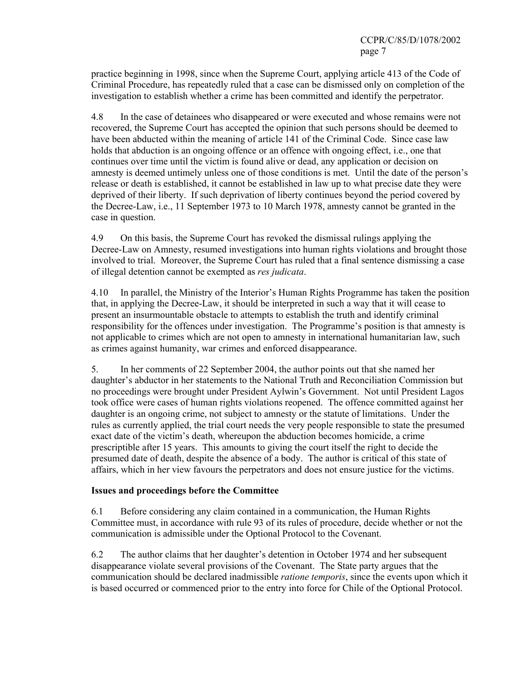practice beginning in 1998, since when the Supreme Court, applying article 413 of the Code of Criminal Procedure, has repeatedly ruled that a case can be dismissed only on completion of the investigation to establish whether a crime has been committed and identify the perpetrator.

4.8 In the case of detainees who disappeared or were executed and whose remains were not recovered, the Supreme Court has accepted the opinion that such persons should be deemed to have been abducted within the meaning of article 141 of the Criminal Code. Since case law holds that abduction is an ongoing offence or an offence with ongoing effect, i.e., one that continues over time until the victim is found alive or dead, any application or decision on amnesty is deemed untimely unless one of those conditions is met. Until the date of the person's release or death is established, it cannot be established in law up to what precise date they were deprived of their liberty. If such deprivation of liberty continues beyond the period covered by the Decree-Law, i.e., 11 September 1973 to 10 March 1978, amnesty cannot be granted in the case in question.

4.9 On this basis, the Supreme Court has revoked the dismissal rulings applying the Decree-Law on Amnesty, resumed investigations into human rights violations and brought those involved to trial. Moreover, the Supreme Court has ruled that a final sentence dismissing a case of illegal detention cannot be exempted as *res judicata*.

4.10 In parallel, the Ministry of the Interior's Human Rights Programme has taken the position that, in applying the Decree-Law, it should be interpreted in such a way that it will cease to present an insurmountable obstacle to attempts to establish the truth and identify criminal responsibility for the offences under investigation. The Programme's position is that amnesty is not applicable to crimes which are not open to amnesty in international humanitarian law, such as crimes against humanity, war crimes and enforced disappearance.

5. In her comments of 22 September 2004, the author points out that she named her daughter's abductor in her statements to the National Truth and Reconciliation Commission but no proceedings were brought under President Aylwin's Government. Not until President Lagos took office were cases of human rights violations reopened. The offence committed against her daughter is an ongoing crime, not subject to amnesty or the statute of limitations. Under the rules as currently applied, the trial court needs the very people responsible to state the presumed exact date of the victim's death, whereupon the abduction becomes homicide, a crime prescriptible after 15 years. This amounts to giving the court itself the right to decide the presumed date of death, despite the absence of a body. The author is critical of this state of affairs, which in her view favours the perpetrators and does not ensure justice for the victims.

## **Issues and proceedings before the Committee**

6.1 Before considering any claim contained in a communication, the Human Rights Committee must, in accordance with rule 93 of its rules of procedure, decide whether or not the communication is admissible under the Optional Protocol to the Covenant.

6.2 The author claims that her daughter's detention in October 1974 and her subsequent disappearance violate several provisions of the Covenant. The State party argues that the communication should be declared inadmissible *ratione temporis*, since the events upon which it is based occurred or commenced prior to the entry into force for Chile of the Optional Protocol.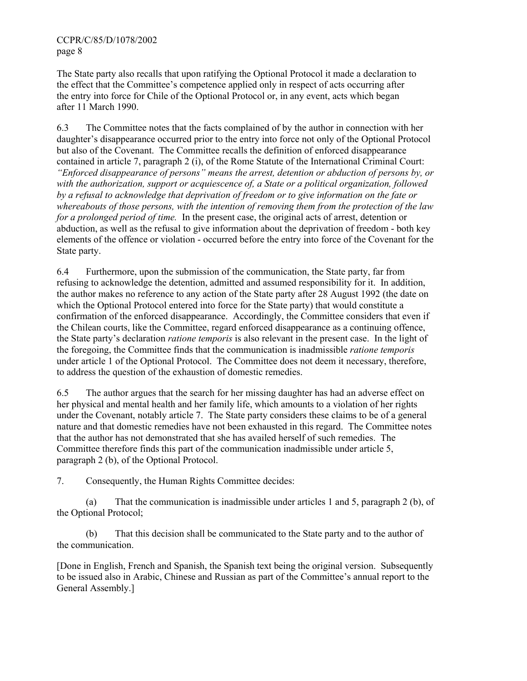The State party also recalls that upon ratifying the Optional Protocol it made a declaration to the effect that the Committee's competence applied only in respect of acts occurring after the entry into force for Chile of the Optional Protocol or, in any event, acts which began after 11 March 1990.

6.3 The Committee notes that the facts complained of by the author in connection with her daughter's disappearance occurred prior to the entry into force not only of the Optional Protocol but also of the Covenant. The Committee recalls the definition of enforced disappearance contained in article 7, paragraph 2 (i), of the Rome Statute of the International Criminal Court: *"Enforced disappearance of persons" means the arrest, detention or abduction of persons by, or with the authorization, support or acquiescence of, a State or a political organization, followed by a refusal to acknowledge that deprivation of freedom or to give information on the fate or whereabouts of those persons, with the intention of removing them from the protection of the law for a prolonged period of time.* In the present case, the original acts of arrest, detention or abduction, as well as the refusal to give information about the deprivation of freedom - both key elements of the offence or violation - occurred before the entry into force of the Covenant for the State party.

6.4 Furthermore, upon the submission of the communication, the State party, far from refusing to acknowledge the detention, admitted and assumed responsibility for it. In addition, the author makes no reference to any action of the State party after 28 August 1992 (the date on which the Optional Protocol entered into force for the State party) that would constitute a confirmation of the enforced disappearance. Accordingly, the Committee considers that even if the Chilean courts, like the Committee, regard enforced disappearance as a continuing offence, the State party's declaration *ratione temporis* is also relevant in the present case. In the light of the foregoing, the Committee finds that the communication is inadmissible *ratione temporis* under article 1 of the Optional Protocol. The Committee does not deem it necessary, therefore, to address the question of the exhaustion of domestic remedies.

6.5 The author argues that the search for her missing daughter has had an adverse effect on her physical and mental health and her family life, which amounts to a violation of her rights under the Covenant, notably article 7. The State party considers these claims to be of a general nature and that domestic remedies have not been exhausted in this regard. The Committee notes that the author has not demonstrated that she has availed herself of such remedies. The Committee therefore finds this part of the communication inadmissible under article 5, paragraph 2 (b), of the Optional Protocol.

7. Consequently, the Human Rights Committee decides:

 (a) That the communication is inadmissible under articles 1 and 5, paragraph 2 (b), of the Optional Protocol;

 (b) That this decision shall be communicated to the State party and to the author of the communication.

[Done in English, French and Spanish, the Spanish text being the original version. Subsequently to be issued also in Arabic, Chinese and Russian as part of the Committee's annual report to the General Assembly.]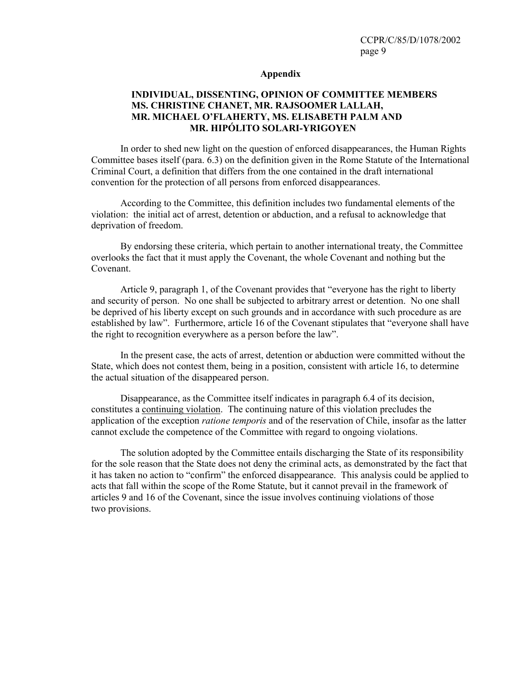#### **Appendix**

## **INDIVIDUAL, DISSENTING, OPINION OF COMMITTEE MEMBERS MS. CHRISTINE CHANET, MR. RAJSOOMER LALLAH, MR. MICHAEL O'FLAHERTY, MS. ELISABETH PALM AND MR. HIPÓLITO SOLARI-YRIGOYEN**

 In order to shed new light on the question of enforced disappearances, the Human Rights Committee bases itself (para. 6.3) on the definition given in the Rome Statute of the International Criminal Court, a definition that differs from the one contained in the draft international convention for the protection of all persons from enforced disappearances.

 According to the Committee, this definition includes two fundamental elements of the violation: the initial act of arrest, detention or abduction, and a refusal to acknowledge that deprivation of freedom.

 By endorsing these criteria, which pertain to another international treaty, the Committee overlooks the fact that it must apply the Covenant, the whole Covenant and nothing but the Covenant.

 Article 9, paragraph 1, of the Covenant provides that "everyone has the right to liberty and security of person. No one shall be subjected to arbitrary arrest or detention. No one shall be deprived of his liberty except on such grounds and in accordance with such procedure as are established by law". Furthermore, article 16 of the Covenant stipulates that "everyone shall have the right to recognition everywhere as a person before the law".

 In the present case, the acts of arrest, detention or abduction were committed without the State, which does not contest them, being in a position, consistent with article 16, to determine the actual situation of the disappeared person.

 Disappearance, as the Committee itself indicates in paragraph 6.4 of its decision, constitutes a continuing violation. The continuing nature of this violation precludes the application of the exception *ratione temporis* and of the reservation of Chile, insofar as the latter cannot exclude the competence of the Committee with regard to ongoing violations.

 The solution adopted by the Committee entails discharging the State of its responsibility for the sole reason that the State does not deny the criminal acts, as demonstrated by the fact that it has taken no action to "confirm" the enforced disappearance. This analysis could be applied to acts that fall within the scope of the Rome Statute, but it cannot prevail in the framework of articles 9 and 16 of the Covenant, since the issue involves continuing violations of those two provisions.